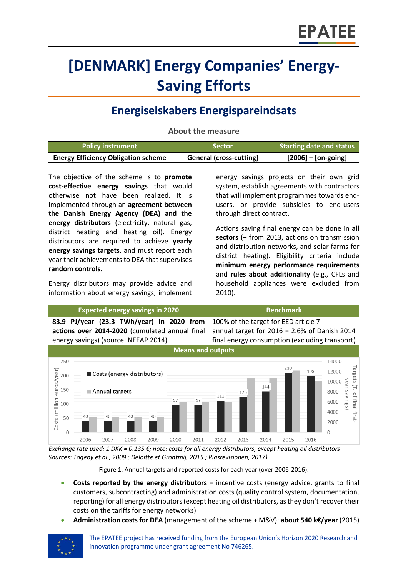# **[DENMARK] Energy Companies' Energy-Saving Efforts**

## **Energiselskabers Energispareindsats**

**About the measure**

| <b>Policy instrument</b>                   | 'Sector                        | Starting date and status     |
|--------------------------------------------|--------------------------------|------------------------------|
| <b>Energy Efficiency Obligation scheme</b> | <b>General (cross-cutting)</b> | $[2006] - [on\text{-going}]$ |

The objective of the scheme is to **promote cost-effective energy savings** that would otherwise not have been realized. It is implemented through an **agreement between the Danish Energy Agency (DEA) and the energy distributors** (electricity, natural gas, district heating and heating oil). Energy distributors are required to achieve **yearly energy savings targets**, and must report each year their achievements to DEA that supervises **random controls**.

Energy distributors may provide advice and information about energy savings, implement

energy savings projects on their own grid system, establish agreements with contractors that will implement programmes towards endusers, or provide subsidies to end-users through direct contract.

Actions saving final energy can be done in **all sectors** (+ from 2013, actions on transmission and distribution networks, and solar farms for district heating). Eligibility criteria include **minimum energy performance requirements** and **rules about additionality** (e.g., CFLs and household appliances were excluded from 2010).



*Exchange rate used: 1 DKK = 0.135 €; note: costs for all energy distributors, except heating oil distributors Sources: Togeby et al., 2009 ; Deloitte et Grontmij, 2015 ; Rigsrevisionen, 2017)*

Figure 1. Annual targets and reported costs for each year (over 2006-2016).

- **Costs reported by the energy distributors** = incentive costs (energy advice, grants to final customers, subcontracting) and administration costs (quality control system, documentation, reporting) for all energy distributors (except heating oil distributors, as they don't recover their costs on the tariffs for energy networks)
- **Administration costs for DEA** (management of the scheme + M&V): **about 540 k€/year** (2015)

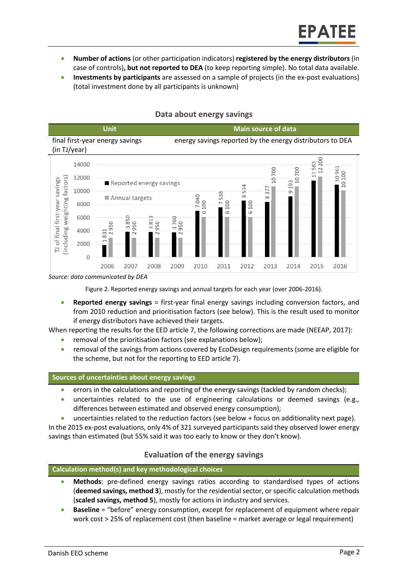- **Number of actions** (or other participation indicators) **registered by the energy distributors** (in case of controls)**, but not reported to DEA** (to keep reporting simple). No total data available.
- **Investments by participants** are assessed on a sample of projects (in the ex-post evaluations) (total investment done by all participants is unknown)



#### **Data about energy savings**

*Source: data communicated by DEA*

Figure 2. Reported energy savings and annual targets for each year (over 2006-2016).

 **Reported energy savings** = first-year final energy savings including conversion factors, and from 2010 reduction and prioritisation factors (see below). This is the result used to monitor if energy distributors have achieved their targets.

When reporting the results for the EED article 7, the following corrections are made (NEEAP, 2017):

- removal of the prioritisation factors (see explanations below);
- removal of the savings from actions covered by EcoDesign requirements (some are eligible for the scheme, but not for the reporting to EED article 7).

#### **Sources of uncertainties about energy savings**

- **e** errors in the calculations and reporting of the energy savings (tackled by random checks);
- uncertainties related to the use of engineering calculations or deemed savings (e.g., differences between estimated and observed energy consumption);
- uncertainties related to the reduction factors (see below + focus on additionality next page).

In the 2015 ex-post evaluations, only 4% of 321 surveyed participants said they observed lower energy savings than estimated (but 55% said it was too early to know or they don't know).

#### **Evaluation of the energy savings**

#### **Calculation method(s) and key methodological choices**

- **Methods**: pre-defined energy savings ratios according to standardised types of actions (**deemed savings, method 3**), mostly for the residential sector, or specific calculation methods (**scaled savings, method 5**), mostly for actions in industry and services.
- **Baseline** = "before" energy consumption, except for replacement of equipment where repair work cost > 25% of replacement cost (then baseline = market average or legal requirement)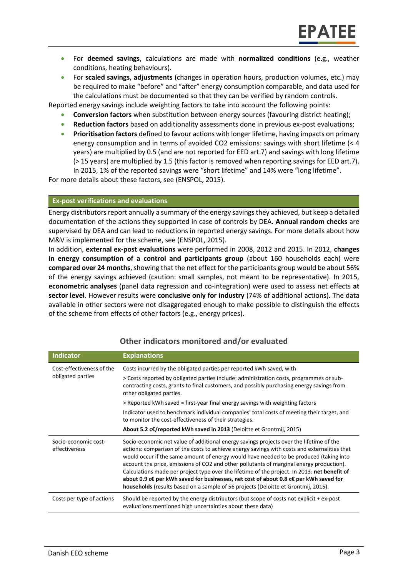- For **deemed savings**, calculations are made with **normalized conditions** (e.g., weather conditions, heating behaviours).
- For **scaled savings**, **adjustments** (changes in operation hours, production volumes, etc.) may be required to make "before" and "after" energy consumption comparable, and data used for the calculations must be documented so that they can be verified by random controls.

Reported energy savings include weighting factors to take into account the following points:

- **Conversion factors** when substitution between energy sources (favouring district heating);
- **Reduction factors** based on additionality assessments done in previous ex-post evaluations;
- **Prioritisation factors** defined to favour actions with longer lifetime, having impacts on primary energy consumption and in terms of avoided CO2 emissions: savings with short lifetime (< 4 years) are multiplied by 0.5 (and are not reported for EED art.7) and savings with long lifetime (> 15 years) are multiplied by 1.5 (this factor is removed when reporting savings for EED art.7). In 2015, 1% of the reported savings were "short lifetime" and 14% were "long lifetime".

For more details about these factors, see (ENSPOL, 2015).

#### **Ex-post verifications and evaluations**

Energy distributors report annually a summary of the energy savings they achieved, but keep a detailed documentation of the actions they supported in case of controls by DEA. **Annual random checks** are supervised by DEA and can lead to reductions in reported energy savings. For more details about how M&V is implemented for the scheme, see (ENSPOL, 2015).

In addition, **external ex-post evaluations** were performed in 2008, 2012 and 2015. In 2012, **changes in energy consumption of a control and participants group** (about 160 households each) were **compared over 24 months**, showing that the net effect for the participants group would be about 56% of the energy savings achieved (caution: small samples, not meant to be representative). In 2015, **econometric analyses** (panel data regression and co-integration) were used to assess net effects **at sector level**. However results were **conclusive only for industry** (74% of additional actions). The data available in other sectors were not disaggregated enough to make possible to distinguish the effects of the scheme from effects of other factors (e.g., energy prices).

| <b>Indicator</b>                               | <b>Explanations</b>                                                                                                                                                                                                                                                                                                                                                                                                                                                                                                                                                                                                                                          |  |
|------------------------------------------------|--------------------------------------------------------------------------------------------------------------------------------------------------------------------------------------------------------------------------------------------------------------------------------------------------------------------------------------------------------------------------------------------------------------------------------------------------------------------------------------------------------------------------------------------------------------------------------------------------------------------------------------------------------------|--|
| Cost-effectiveness of the<br>obligated parties | Costs incurred by the obligated parties per reported kWh saved, with<br>> Costs reported by obligated parties include: administration costs, programmes or sub-<br>contracting costs, grants to final customers, and possibly purchasing energy savings from<br>other obligated parties.                                                                                                                                                                                                                                                                                                                                                                     |  |
|                                                | > Reported kWh saved = first-year final energy savings with weighting factors                                                                                                                                                                                                                                                                                                                                                                                                                                                                                                                                                                                |  |
|                                                | Indicator used to benchmark individual companies' total costs of meeting their target, and<br>to monitor the cost-effectiveness of their strategies.                                                                                                                                                                                                                                                                                                                                                                                                                                                                                                         |  |
|                                                | About 5.2 c€/reported kWh saved in 2013 (Deloitte et Grontmij, 2015)                                                                                                                                                                                                                                                                                                                                                                                                                                                                                                                                                                                         |  |
| Socio-economic cost-<br>effectiveness          | Socio-economic net value of additional energy savings projects over the lifetime of the<br>actions: comparison of the costs to achieve energy savings with costs and externalities that<br>would occur if the same amount of energy would have needed to be produced (taking into<br>account the price, emissions of CO2 and other pollutants of marginal energy production).<br>Calculations made per project type over the lifetime of the project. In 2013: net benefit of<br>about 0.9 c€ per kWh saved for businesses, net cost of about 0.8 c€ per kWh saved for<br>households (results based on a sample of 56 projects (Deloitte et Grontmij, 2015). |  |
| Costs per type of actions                      | Should be reported by the energy distributors (but scope of costs not explicit + ex-post<br>evaluations mentioned high uncertainties about these data)                                                                                                                                                                                                                                                                                                                                                                                                                                                                                                       |  |

#### **Other indicators monitored and/or evaluated**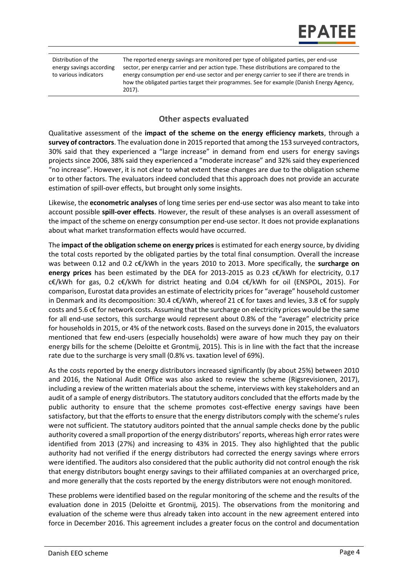Distribution of the energy savings according to various indicators

The reported energy savings are monitored per type of obligated parties, per end-use sector, per energy carrier and per action type. These distributions are compared to the energy consumption per end-use sector and per energy carrier to see if there are trends in how the obligated parties target their programmes. See for example (Danish Energy Agency, 2017).

#### **Other aspects evaluated**

Qualitative assessment of the **impact of the scheme on the energy efficiency markets**, through a **survey of contractors**. The evaluation done in 2015 reported that among the 153 surveyed contractors, 30% said that they experienced a "large increase" in demand from end users for energy savings projects since 2006, 38% said they experienced a "moderate increase" and 32% said they experienced "no increase". However, it is not clear to what extent these changes are due to the obligation scheme or to other factors. The evaluators indeed concluded that this approach does not provide an accurate estimation of spill-over effects, but brought only some insights.

Likewise, the **econometric analyses** of long time series per end-use sector was also meant to take into account possible **spill-over effects**. However, the result of these analyses is an overall assessment of the impact of the scheme on energy consumption per end-use sector. It does not provide explanations about what market transformation effects would have occurred.

The **impact of the obligation scheme on energy prices**is estimated for each energy source, by dividing the total costs reported by the obligated parties by the total final consumption. Overall the increase was between 0.12 and 0.2 c€/kWh in the years 2010 to 2013. More specifically, the **surcharge on energy prices** has been estimated by the DEA for 2013-2015 as 0.23 c€/kWh for electricity, 0.17 c€/kWh for gas, 0.2 c€/kWh for district heating and 0.04 c€/kWh for oil (ENSPOL, 2015). For comparison, Eurostat data provides an estimate of electricity prices for "average" household customer in Denmark and its decomposition: 30.4 c $\epsilon$ /kWh, whereof 21 c $\epsilon$  for taxes and levies, 3.8 c $\epsilon$  for supply costs and 5.6 c€ for network costs. Assuming that the surcharge on electricity prices would be the same for all end-use sectors, this surcharge would represent about 0.8% of the "average" electricity price for households in 2015, or 4% of the network costs. Based on the surveys done in 2015, the evaluators mentioned that few end-users (especially households) were aware of how much they pay on their energy bills for the scheme (Deloitte et Grontmij, 2015). This is in line with the fact that the increase rate due to the surcharge is very small (0.8% vs. taxation level of 69%).

As the costs reported by the energy distributors increased significantly (by about 25%) between 2010 and 2016, the National Audit Office was also asked to review the scheme (Rigsrevisionen, 2017), including a review of the written materials about the scheme, interviews with key stakeholders and an audit of a sample of energy distributors. The statutory auditors concluded that the efforts made by the public authority to ensure that the scheme promotes cost-effective energy savings have been satisfactory, but that the efforts to ensure that the energy distributors comply with the scheme's rules were not sufficient. The statutory auditors pointed that the annual sample checks done by the public authority covered a small proportion of the energy distributors' reports, whereas high error rates were identified from 2013 (27%) and increasing to 43% in 2015. They also highlighted that the public authority had not verified if the energy distributors had corrected the energy savings where errors were identified. The auditors also considered that the public authority did not control enough the risk that energy distributors bought energy savings to their affiliated companies at an overcharged price, and more generally that the costs reported by the energy distributors were not enough monitored.

These problems were identified based on the regular monitoring of the scheme and the results of the evaluation done in 2015 (Deloitte et Grontmij, 2015). The observations from the monitoring and evaluation of the scheme were thus already taken into account in the new agreement entered into force in December 2016. This agreement includes a greater focus on the control and documentation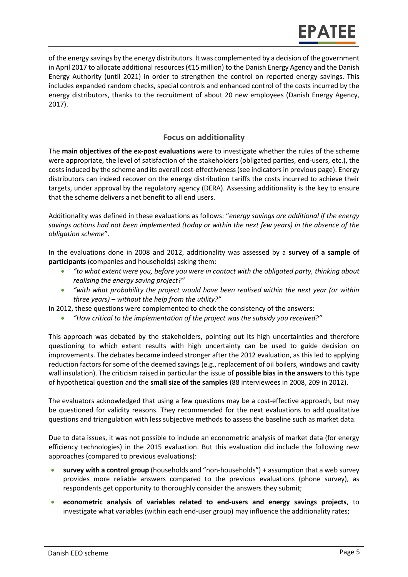of the energy savings by the energy distributors. It was complemented by a decision of the government in April 2017 to allocate additional resources (€15 million) to the Danish Energy Agency and the Danish Energy Authority (until 2021) in order to strengthen the control on reported energy savings. This includes expanded random checks, special controls and enhanced control of the costs incurred by the energy distributors, thanks to the recruitment of about 20 new employees (Danish Energy Agency, 2017).

#### **Focus on additionality**

The **main objectives of the ex-post evaluations** were to investigate whether the rules of the scheme were appropriate, the level of satisfaction of the stakeholders (obligated parties, end-users, etc.), the costs induced by the scheme and its overall cost-effectiveness (see indicators in previous page). Energy distributors can indeed recover on the energy distribution tariffs the costs incurred to achieve their targets, under approval by the regulatory agency (DERA). Assessing additionality is the key to ensure that the scheme delivers a net benefit to all end users.

Additionality was defined in these evaluations as follows: "*energy savings are additional if the energy savings actions had not been implemented (today or within the next few years) in the absence of the obligation scheme*".

In the evaluations done in 2008 and 2012, additionality was assessed by a **survey of a sample of participants** (companies and households) asking them:

- *"to what extent were you, before you were in contact with the obligated party, thinking about realising the energy saving project?"*
- *"with what probability the project would have been realised within the next year (or within three years) – without the help from the utility?"*
- In 2012, these questions were complemented to check the consistency of the answers:
	- *"How critical to the implementation of the project was the subsidy you received?"*

This approach was debated by the stakeholders, pointing out its high uncertainties and therefore questioning to which extent results with high uncertainty can be used to guide decision on improvements. The debates became indeed stronger after the 2012 evaluation, as this led to applying reduction factors for some of the deemed savings (e.g., replacement of oil boilers, windows and cavity wall insulation). The criticism raised in particular the issue of **possible bias in the answers** to this type of hypothetical question and the **small size of the samples** (88 interviewees in 2008, 209 in 2012).

The evaluators acknowledged that using a few questions may be a cost-effective approach, but may be questioned for validity reasons. They recommended for the next evaluations to add qualitative questions and triangulation with less subjective methods to assess the baseline such as market data.

Due to data issues, it was not possible to include an econometric analysis of market data (for energy efficiency technologies) in the 2015 evaluation. But this evaluation did include the following new approaches (compared to previous evaluations):

- **survey with a control group** (households and "non-households") + assumption that a web survey provides more reliable answers compared to the previous evaluations (phone survey), as respondents get opportunity to thoroughly consider the answers they submit;
- **econometric analysis of variables related to end-users and energy savings projects**, to investigate what variables (within each end-user group) may influence the additionality rates;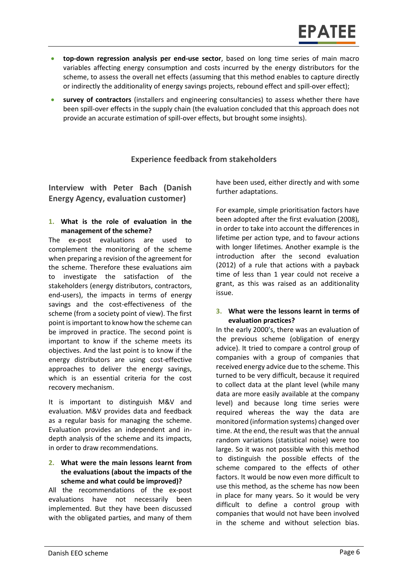- **top-down regression analysis per end-use sector**, based on long time series of main macro variables affecting energy consumption and costs incurred by the energy distributors for the scheme, to assess the overall net effects (assuming that this method enables to capture directly or indirectly the additionality of energy savings projects, rebound effect and spill-over effect);
- **survey of contractors** (installers and engineering consultancies) to assess whether there have been spill-over effects in the supply chain (the evaluation concluded that this approach does not provide an accurate estimation of spill-over effects, but brought some insights).

### **Experience feedback from stakeholders**

**Interview with Peter Bach (Danish Energy Agency, evaluation customer)**

**1. What is the role of evaluation in the management of the scheme?**

The ex-post evaluations are used to complement the monitoring of the scheme when preparing a revision of the agreement for the scheme. Therefore these evaluations aim to investigate the satisfaction of the stakeholders (energy distributors, contractors, end-users), the impacts in terms of energy savings and the cost-effectiveness of the scheme (from a society point of view). The first point is important to know how the scheme can be improved in practice. The second point is important to know if the scheme meets its objectives. And the last point is to know if the energy distributors are using cost-effective approaches to deliver the energy savings, which is an essential criteria for the cost recovery mechanism.

It is important to distinguish M&V and evaluation. M&V provides data and feedback as a regular basis for managing the scheme. Evaluation provides an independent and indepth analysis of the scheme and its impacts, in order to draw recommendations.

#### **2. What were the main lessons learnt from the evaluations (about the impacts of the scheme and what could be improved)?**

All the recommendations of the ex-post evaluations have not necessarily been implemented. But they have been discussed with the obligated parties, and many of them

have been used, either directly and with some further adaptations.

For example, simple prioritisation factors have been adopted after the first evaluation (2008), in order to take into account the differences in lifetime per action type, and to favour actions with longer lifetimes. Another example is the introduction after the second evaluation (2012) of a rule that actions with a payback time of less than 1 year could not receive a grant, as this was raised as an additionality issue.

#### **3. What were the lessons learnt in terms of evaluation practices?**

In the early 2000's, there was an evaluation of the previous scheme (obligation of energy advice). It tried to compare a control group of companies with a group of companies that received energy advice due to the scheme. This turned to be very difficult, because it required to collect data at the plant level (while many data are more easily available at the company level) and because long time series were required whereas the way the data are monitored (information systems) changed over time. At the end, the result was that the annual random variations (statistical noise) were too large. So it was not possible with this method to distinguish the possible effects of the scheme compared to the effects of other factors. It would be now even more difficult to use this method, as the scheme has now been in place for many years. So it would be very difficult to define a control group with companies that would not have been involved in the scheme and without selection bias.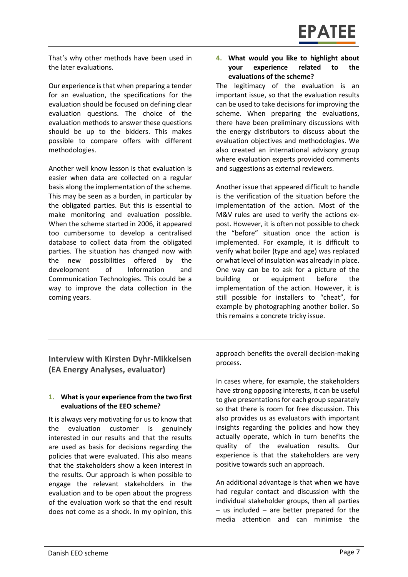That's why other methods have been used in the later evaluations.

Our experience is that when preparing a tender for an evaluation, the specifications for the evaluation should be focused on defining clear evaluation questions. The choice of the evaluation methods to answer these questions should be up to the bidders. This makes possible to compare offers with different methodologies.

Another well know lesson is that evaluation is easier when data are collected on a regular basis along the implementation of the scheme. This may be seen as a burden, in particular by the obligated parties. But this is essential to make monitoring and evaluation possible. When the scheme started in 2006, it appeared too cumbersome to develop a centralised database to collect data from the obligated parties. The situation has changed now with the new possibilities offered by the development of Information and Communication Technologies. This could be a way to improve the data collection in the coming years.

#### **4. What would you like to highlight about your experience related to the evaluations of the scheme?**

The legitimacy of the evaluation is an important issue, so that the evaluation results can be used to take decisions for improving the scheme. When preparing the evaluations, there have been preliminary discussions with the energy distributors to discuss about the evaluation objectives and methodologies. We also created an international advisory group where evaluation experts provided comments and suggestions as external reviewers.

Another issue that appeared difficult to handle is the verification of the situation before the implementation of the action. Most of the M&V rules are used to verify the actions expost. However, it is often not possible to check the "before" situation once the action is implemented. For example, it is difficult to verify what boiler (type and age) was replaced or what level of insulation was already in place. One way can be to ask for a picture of the building or equipment before the implementation of the action. However, it is still possible for installers to "cheat", for example by photographing another boiler. So this remains a concrete tricky issue.

**Interview with Kirsten Dyhr-Mikkelsen (EA Energy Analyses, evaluator)**

#### **1. What is your experience from the two first evaluations of the EEO scheme?**

It is always very motivating for us to know that the evaluation customer is genuinely interested in our results and that the results are used as basis for decisions regarding the policies that were evaluated. This also means that the stakeholders show a keen interest in the results. Our approach is when possible to engage the relevant stakeholders in the evaluation and to be open about the progress of the evaluation work so that the end result does not come as a shock. In my opinion, this

approach benefits the overall decision-making process.

In cases where, for example, the stakeholders have strong opposing interests, it can be useful to give presentations for each group separately so that there is room for free discussion. This also provides us as evaluators with important insights regarding the policies and how they actually operate, which in turn benefits the quality of the evaluation results. Our experience is that the stakeholders are very positive towards such an approach.

An additional advantage is that when we have had regular contact and discussion with the individual stakeholder groups, then all parties – us included – are better prepared for the media attention and can minimise the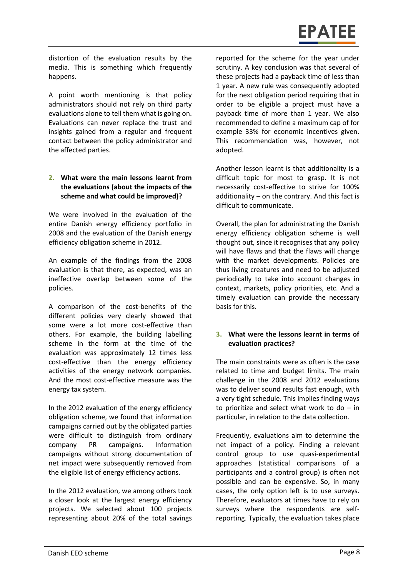# **EPATEE**

distortion of the evaluation results by the media. This is something which frequently happens.

A point worth mentioning is that policy administrators should not rely on third party evaluations alone to tell them what is going on. Evaluations can never replace the trust and insights gained from a regular and frequent contact between the policy administrator and the affected parties.

#### **2. What were the main lessons learnt from the evaluations (about the impacts of the scheme and what could be improved)?**

We were involved in the evaluation of the entire Danish energy efficiency portfolio in 2008 and the evaluation of the Danish energy efficiency obligation scheme in 2012.

An example of the findings from the 2008 evaluation is that there, as expected, was an ineffective overlap between some of the policies.

A comparison of the cost-benefits of the different policies very clearly showed that some were a lot more cost-effective than others. For example, the building labelling scheme in the form at the time of the evaluation was approximately 12 times less cost-effective than the energy efficiency activities of the energy network companies. And the most cost-effective measure was the energy tax system.

In the 2012 evaluation of the energy efficiency obligation scheme, we found that information campaigns carried out by the obligated parties were difficult to distinguish from ordinary company PR campaigns. Information campaigns without strong documentation of net impact were subsequently removed from the eligible list of energy efficiency actions.

In the 2012 evaluation, we among others took a closer look at the largest energy efficiency projects. We selected about 100 projects representing about 20% of the total savings reported for the scheme for the year under scrutiny. A key conclusion was that several of these projects had a payback time of less than 1 year. A new rule was consequently adopted for the next obligation period requiring that in order to be eligible a project must have a payback time of more than 1 year. We also recommended to define a maximum cap of for example 33% for economic incentives given. This recommendation was, however, not adopted.

Another lesson learnt is that additionality is a difficult topic for most to grasp. It is not necessarily cost-effective to strive for 100% additionality – on the contrary. And this fact is difficult to communicate.

Overall, the plan for administrating the Danish energy efficiency obligation scheme is well thought out, since it recognises that any policy will have flaws and that the flaws will change with the market developments. Policies are thus living creatures and need to be adjusted periodically to take into account changes in context, markets, policy priorities, etc. And a timely evaluation can provide the necessary basis for this.

#### **3. What were the lessons learnt in terms of evaluation practices?**

The main constraints were as often is the case related to time and budget limits. The main challenge in the 2008 and 2012 evaluations was to deliver sound results fast enough, with a very tight schedule. This implies finding ways to prioritize and select what work to do  $-$  in particular, in relation to the data collection.

Frequently, evaluations aim to determine the net impact of a policy. Finding a relevant control group to use quasi-experimental approaches (statistical comparisons of a participants and a control group) is often not possible and can be expensive. So, in many cases, the only option left is to use surveys. Therefore, evaluators at times have to rely on surveys where the respondents are selfreporting. Typically, the evaluation takes place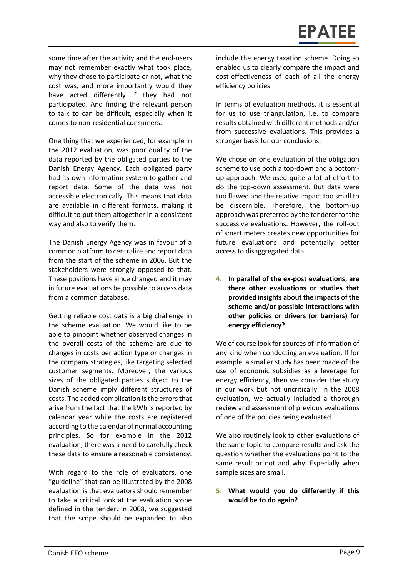some time after the activity and the end-users may not remember exactly what took place, why they chose to participate or not, what the cost was, and more importantly would they have acted differently if they had not participated. And finding the relevant person to talk to can be difficult, especially when it comes to non-residential consumers.

One thing that we experienced, for example in the 2012 evaluation, was poor quality of the data reported by the obligated parties to the Danish Energy Agency. Each obligated party had its own information system to gather and report data. Some of the data was not accessible electronically. This means that data are available in different formats, making it difficult to put them altogether in a consistent way and also to verify them.

The Danish Energy Agency was in favour of a common platform to centralize and report data from the start of the scheme in 2006. But the stakeholders were strongly opposed to that. These positions have since changed and it may in future evaluations be possible to access data from a common database.

Getting reliable cost data is a big challenge in the scheme evaluation. We would like to be able to pinpoint whether observed changes in the overall costs of the scheme are due to changes in costs per action type or changes in the company strategies, like targeting selected customer segments. Moreover, the various sizes of the obligated parties subject to the Danish scheme imply different structures of costs. The added complication is the errors that arise from the fact that the kWh is reported by calendar year while the costs are registered according to the calendar of normal accounting principles. So for example in the 2012 evaluation, there was a need to carefully check these data to ensure a reasonable consistency.

With regard to the role of evaluators, one "guideline" that can be illustrated by the 2008 evaluation is that evaluators should remember to take a critical look at the evaluation scope defined in the tender. In 2008, we suggested that the scope should be expanded to also

include the energy taxation scheme. Doing so enabled us to clearly compare the impact and cost-effectiveness of each of all the energy efficiency policies.

In terms of evaluation methods, it is essential for us to use triangulation, i.e. to compare results obtained with different methods and/or from successive evaluations. This provides a stronger basis for our conclusions.

We chose on one evaluation of the obligation scheme to use both a top-down and a bottomup approach. We used quite a lot of effort to do the top-down assessment. But data were too flawed and the relative impact too small to be discernible. Therefore, the bottom-up approach was preferred by the tenderer for the successive evaluations. However, the roll-out of smart meters creates new opportunities for future evaluations and potentially better access to disaggregated data.

**4. In parallel of the ex-post evaluations, are there other evaluations or studies that provided insights about the impacts of the scheme and/or possible interactions with other policies or drivers (or barriers) for energy efficiency?**

We of course look for sources of information of any kind when conducting an evaluation. If for example, a smaller study has been made of the use of economic subsidies as a leverage for energy efficiency, then we consider the study in our work but not uncritically. In the 2008 evaluation, we actually included a thorough review and assessment of previous evaluations of one of the policies being evaluated.

We also routinely look to other evaluations of the same topic to compare results and ask the question whether the evaluations point to the same result or not and why. Especially when sample sizes are small.

#### **5. What would you do differently if this would be to do again?**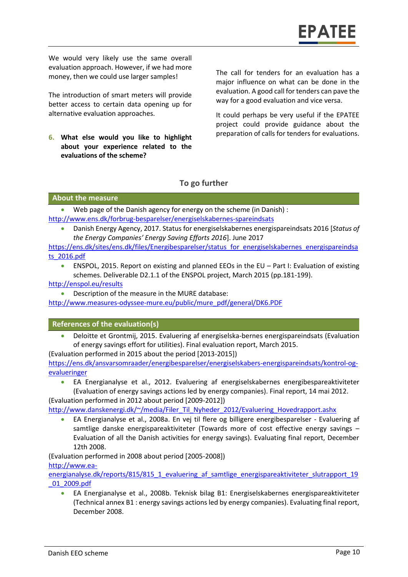We would very likely use the same overall evaluation approach. However, if we had more money, then we could use larger samples!

The introduction of smart meters will provide better access to certain data opening up for alternative evaluation approaches.

**6. What else would you like to highlight about your experience related to the evaluations of the scheme?**

The call for tenders for an evaluation has a major influence on what can be done in the evaluation. A good call for tenders can pave the way for a good evaluation and vice versa.

It could perhaps be very useful if the EPATEE project could provide guidance about the preparation of calls for tenders for evaluations.

#### **To go further**

#### **About the measure**

 Web page of the Danish agency for energy on the scheme (in Danish) : <http://www.ens.dk/forbrug-besparelser/energiselskabernes-spareindsats>

 Danish Energy Agency, 2017. Status for energiselskabernes energispareindsats 2016 [*Status of the Energy Companies' Energy Saving Efforts 2016*]. June 2017

[https://ens.dk/sites/ens.dk/files/Energibesparelser/status\\_for\\_energiselskabernes\\_energispareindsa](https://ens.dk/sites/ens.dk/files/Energibesparelser/status_for_energiselskabernes_energispareindsats_2016.pdf) [ts\\_2016.pdf](https://ens.dk/sites/ens.dk/files/Energibesparelser/status_for_energiselskabernes_energispareindsats_2016.pdf)

 ENSPOL, 2015. Report on existing and planned EEOs in the EU – Part I: Evaluation of existing schemes. Deliverable D2.1.1 of the ENSPOL project, March 2015 (pp.181-199).

<http://enspol.eu/results>

Description of the measure in the MURE database:

[http://www.measures-odyssee-mure.eu/public/mure\\_pdf/general/DK6.PDF](http://www.measures-odyssee-mure.eu/public/mure_pdf/general/DK6.PDF)

#### **References of the evaluation(s)**

 Deloitte et Grontmij, 2015. Evaluering af energiselska-bernes energispareindsats (Evaluation of energy savings effort for utilities). Final evaluation report, March 2015.

(Evaluation performed in 2015 about the period [2013-2015])

[https://ens.dk/ansvarsomraader/energibesparelser/energiselskabers-energispareindsats/kontrol-og](https://ens.dk/ansvarsomraader/energibesparelser/energiselskabers-energispareindsats/kontrol-og-evalueringer)[evalueringer](https://ens.dk/ansvarsomraader/energibesparelser/energiselskabers-energispareindsats/kontrol-og-evalueringer) 

 EA Energianalyse et al., 2012. Evaluering af energiselskabernes energibespareaktiviteter (Evaluation of energy savings actions led by energy companies). Final report, 14 mai 2012.

(Evaluation performed in 2012 about period [2009-2012])

[http://www.danskenergi.dk/~/media/Filer\\_Til\\_Nyheder\\_2012/Evaluering\\_Hovedrapport.ashx](http://www.danskenergi.dk/~/media/Filer_Til_Nyheder_2012/Evaluering_Hovedrapport.ashx)

 EA Energianalyse et al., 2008a. En vej til flere og billigere energibesparelser - Evaluering af samtlige danske energispareaktiviteter (Towards more of cost effective energy savings – Evaluation of all the Danish activities for energy savings). Evaluating final report, December 12th 2008.

(Evaluation performed in 2008 about period [2005-2008])

[http://www.ea-](http://www.ea-energianalyse.dk/reports/815/815_1_evaluering_af_samtlige_energispareaktiviteter_slutrapport_19_01_2009.pdf)

[energianalyse.dk/reports/815/815\\_1\\_evaluering\\_af\\_samtlige\\_energispareaktiviteter\\_slutrapport\\_19](http://www.ea-energianalyse.dk/reports/815/815_1_evaluering_af_samtlige_energispareaktiviteter_slutrapport_19_01_2009.pdf) [\\_01\\_2009.pdf](http://www.ea-energianalyse.dk/reports/815/815_1_evaluering_af_samtlige_energispareaktiviteter_slutrapport_19_01_2009.pdf)

 EA Energianalyse et al., 2008b. Teknisk bilag B1: Energiselskabernes energispareaktiviteter (Technical annex B1 : energy savings actions led by energy companies). Evaluating final report, December 2008.